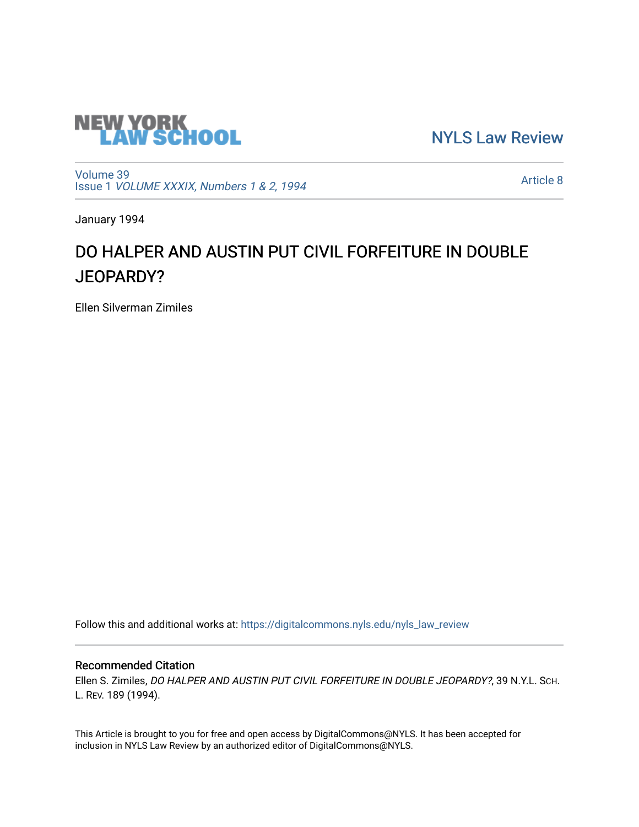

[NYLS Law Review](https://digitalcommons.nyls.edu/nyls_law_review) 

[Volume 39](https://digitalcommons.nyls.edu/nyls_law_review/vol39) Issue 1 [VOLUME XXXIX, Numbers 1 & 2, 1994](https://digitalcommons.nyls.edu/nyls_law_review/vol39/iss1)

[Article 8](https://digitalcommons.nyls.edu/nyls_law_review/vol39/iss1/8) 

January 1994

# DO HALPER AND AUSTIN PUT CIVIL FORFEITURE IN DOUBLE JEOPARDY?

Ellen Silverman Zimiles

Follow this and additional works at: [https://digitalcommons.nyls.edu/nyls\\_law\\_review](https://digitalcommons.nyls.edu/nyls_law_review?utm_source=digitalcommons.nyls.edu%2Fnyls_law_review%2Fvol39%2Fiss1%2F8&utm_medium=PDF&utm_campaign=PDFCoverPages) 

# Recommended Citation

Ellen S. Zimiles, DO HALPER AND AUSTIN PUT CIVIL FORFEITURE IN DOUBLE JEOPARDY?, 39 N.Y.L. SCH. L. REV. 189 (1994).

This Article is brought to you for free and open access by DigitalCommons@NYLS. It has been accepted for inclusion in NYLS Law Review by an authorized editor of DigitalCommons@NYLS.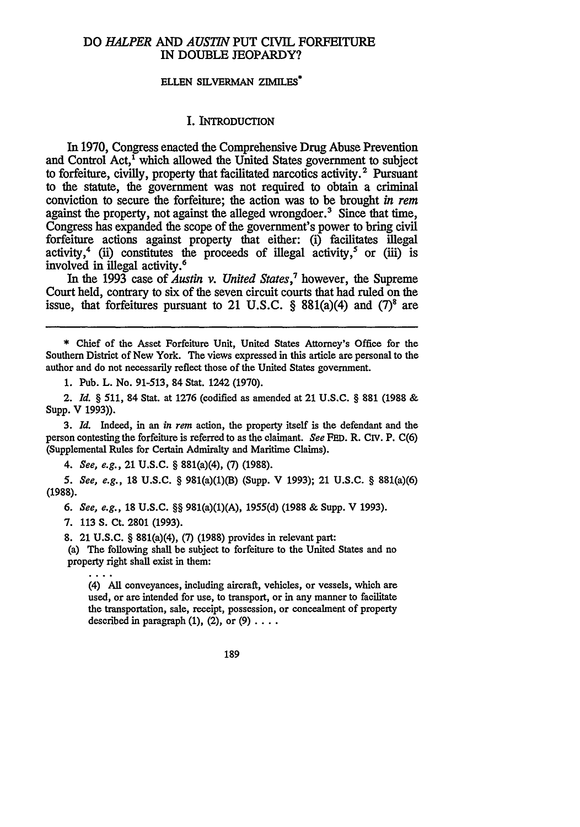#### DO *HALPER AND AUSTIN* PUT CIVIL FORFEITURE IN DOUBLE JEOPARDY?

#### **ELLEN** SILVERMAN ZIMILES\*

## I. INTRODUCTION

In 1970, Congress enacted the Comprehensive Drug Abuse Prevention and Control Act,' which allowed the United States government to subject to forfeiture, civilly, property that facilitated narcotics activity.<sup>2</sup> Pursuant to the statute, the government was not required to obtain a criminal conviction to secure the forfeiture; the action was to be brought in *rem* against the property, not against the alleged wrongdoer.<sup>3</sup> Since that time, Congress has expanded the scope of the government's power to bring civil forfeiture actions against property that either: (i) facilitates illegal activity,<sup>4</sup> (ii) constitutes the proceeds of illegal activity,<sup>5</sup> or (iii) is involved in illegal activity.<sup>6</sup>

In the 1993 case of *Austin v. United States,7* however, the Supreme Court held, contrary to six of the seven circuit courts that had ruled on the issue, that forfeitures pursuant to 21 U.S.C. § 881(a)(4) and  $(7)^8$  are

\* Chief of the Asset Forfeiture Unit, United States Attorney's Office for the Southern District of New York. The views expressed in this article are personal to the author and do not necessarily reflect those of the United States government.

1. Pub. L. No. 91-513, 84 Stat. 1242 (1970).

2. *Id. §* 511, 84 Stat. at 1276 (codified as amended at 21 U.S.C. *§* 881 (1988 & Supp. V 1993)).

*3. Id.* Indeed, in an *in rem* action, the property itself is the defendant and the person contesting the forfeiture is referred to as the claimant. *See FED. R. CIV. P. C(6)* (Supplemental Rules for Certain Admiralty and Maritime Claims).

*4. See, e.g.,* 21 **U.S.C.** *§* 881(a)(4), **(7) (1988).**

*5. See, e.g.,* **18 U.S.C.** *§* 981(a)(1)(B) (Supp. V **1993);** 21 **U.S.C.** *§* 881(a)(6) (1988).

**6.** *See, e.g.,* **18 U.S.C.** *§§* 981(a)(1)(A), 1955(d) **(1988** & Supp. V 1993).

**7.** 113 **S.** Ct. **2801** (1993).

**8.** 21 U.S.C. *§* 881(a)(4), **(7)** (1988) provides in relevant part:

(a) The following shall be subject to forfeiture to the United States and no property right shall exist in them:

(4) All conveyances, including aircraft, vehicles, or vessels, which are used, or are intended for use, to transport, or in any manner to facilitate the transportation, sale, receipt, possession, or concealment of property described in paragraph **(1),** (2), or **(9)** ....

189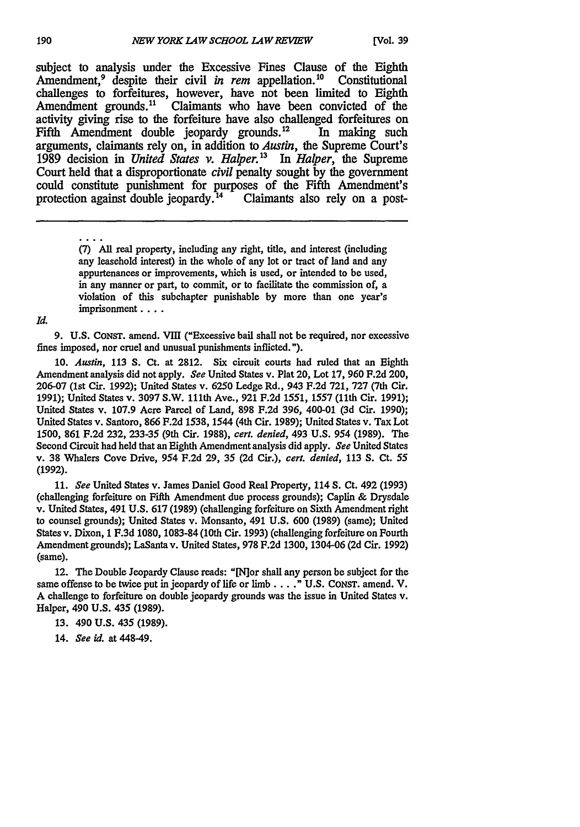subject to analysis under the Excessive Fines Clause of the Eighth Amendment.<sup>9</sup> despite their civil *in rem* appellation.<sup>10</sup> Constitutional Amendment,<sup>9</sup> despite their civil *in rem* appellation.<sup>10</sup> challenges to forfeitures, however, have not been limited to Eighth Amendment grounds.<sup>11</sup> Claimants who have been convicted of the activity giving rise to the forfeiture have also challenged forfeitures on Fifth Amendment double jeopardy grounds.<sup>12</sup> In making such arguments, claimants rely on, in addition to *Austin,* the Supreme Court's **1989** decision in *United States v. Halper. " In Halper,* the Supreme Court held that a disproportionate *civil* penalty sought by the government could constitute punishment for purposes of the Fifth Amendment's protection against double jeopardy.<sup>14</sup> Claimants also rely on a post-

> (7) All real property, including any right, title, and interest (including any leasehold interest) in the whole of any lot or tract of land and any appurtenances or improvements, which is used, or intended to be used, in any manner or part, to commit, or to facilitate the commission of, a violation of this subchapter punishable by more than one year's imprisonment **....**

*Id.*

9. U.S. CONST. amend. VIII ("Excessive bail shall not be required, nor excessive fines imposed, nor cruel and unusual punishments inflicted.").

10. *Austin,* **113 S.** Ct. at 2812. Six circuit courts had ruled that an Eighth Amendment analysis did not apply. *See* United States v. Plat 20, Lot 17, 960 F.2d 200, 206-07 (1st Cir. 1992); United States v. 6250 Ledge Rd., 943 F.2d 721, 727 (7th Cir. 1991); United States v. 3097 S.W. 111th Ave., 921 F.2d 1551, 1557 (11th Cir. 1991); United States v. 107.9 Acre Parcel of Land, 898 F.2d 396, 400-01 (3d Cir. 1990); United States v. Santoro, 866 F.2d 1538, 1544 (4th Cir. 1989); United States v. Tax Lot 1500, 861 F.2d **232,** 233-35 (9th Cir. 1988), *cert. denied,* 493 U.S. 954 (1989). The Second Circuit had held that an Eighth Amendment analysis did apply. *See* United States v. 38 Whalers Cove Drive, 954 F.2d **29,** 35 **(2d** Cir.), *cert. denied,* 113 **S.** Ct. *55* **(1992).**

11. *See* United States v. James Daniel Good Real Property, 114 **S.** Ct. 492 (1993) (challenging forfeiture on Fifth Amendment due process grounds); Caplin & Drysdale v. United States, 491 **U.S.** 617 (1989) (challenging forfeiture on Sixth Amendment right to counsel grounds); United States v. Monsanto, 491 **U.S. 600** (1989) (same); United States v. Dixon, 1 F.3d 1080, 1083-84 (10th Cir. 1993) (challenging forfeiture on Fourth Amendment grounds); LaSanta v. United States, 978 F.2d 1300, 1304-06 **(2d** Cir. **1992)** (same).

12. The Double Jeopardy Clause reads: "INlor shall any person be subject for the same offense to be twice put in jeopardy of life or limb. .. **." U.S.** CONST. amend. V. A challenge to forfeiture on double jeopardy grounds was the issue in United States v. Halper, 490 **U.S.** 435 (1989).

13. 490 **U.S.** 435 (1989).

14. *See id.* at 448-49.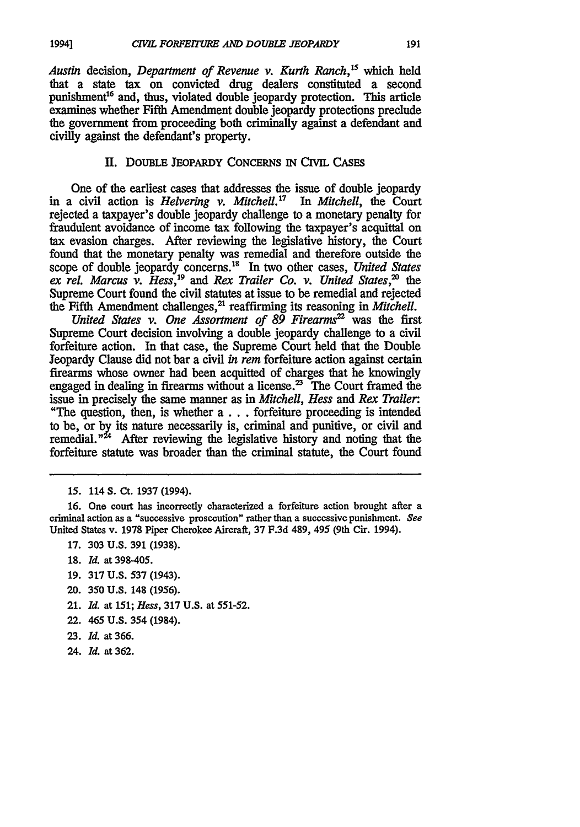*Austin* decision, *Department of Revenue v. Kurth Ranch,15* which held that a state tax on convicted drug dealers constituted a second punishment<sup>16</sup> and, thus, violated double jeopardy protection. This article examines whether Fifth Amendment double jeopardy protections preclude the government from proceeding both criminally against a defendant and civilly against the defendant's property.

# **I1.** DOUBLE JEOPARDY **CONCERNS IN** CIVIL CASES

One of the earliest cases that addresses the issue of double jeopardy in a civil action is *Helvering v. Mitchell*.<sup>17</sup> In *Mitchell*, the Court rejected a taxpayer's double jeopardy challenge to a monetary penalty for fraudulent avoidance of income tax following the taxpayer's acquittal on tax evasion charges. After reviewing the legislative history, the Court found that the monetary penalty was remedial and therefore outside the scope of double jeopardy concerns.<sup>18</sup> In two other cases, *United States* ex rel. Marcus v. Hess,<sup>19</sup> and Rex Trailer Co. v. United States,<sup>20</sup> the Supreme Court found the civil statutes at issue to be remedial and rejected the Fifth Amendment challenges,<sup>21</sup> reaffirming its reasoning in *Mitchell*.

*United States v. One Assortment of 89 Firearms*<sup>22</sup> was the first Supreme Court decision involving a double jeopardy challenge to a civil forfeiture action. In that case, the Supreme Court held that the Double Jeopardy Clause did not bar a civil *in rem* forfeiture action against certain firearms whose owner had been acquitted of charges that he knowingly engaged in dealing in firearms without a license. $^{23}$  The Court framed the issue in precisely the same manner as in *Mitchell, Hess* and *Rex Trailer:* "The question, then, is whether a... forfeiture proceeding is intended to be, or by its nature necessarily is, criminal and punitive, or civil and remedial. $n^{24}$  After reviewing the legislative history and noting that the forfeiture statute was broader than the criminal statute, the Court found

- **18.** *Id.* at 398-405.
- 19. **317** U.S. **537** (1943).
- 20. **350** U.S. 148 (1956).
- 21. *Id.* at 151; *Hess,* 317 **U.S.** at **551-52.**
- **22.** 465 **U.S.** 354 (1984).
- **23.** *Id.* at 366.
- 24. *Id.* at **362.**

<sup>15. 114</sup> **S.** Ct. 1937 (1994).

<sup>16.</sup> One court has incorrectly characterized a forfeiture action brought after a criminal action as a "successive prosecution" rather than a successive punishment. *See* United States v. 1978 Piper Cherokee Aircraft, 37 F.3d 489, 495 (9th Cir. 1994).

**<sup>17. 303</sup> U.S. 391 (1938).**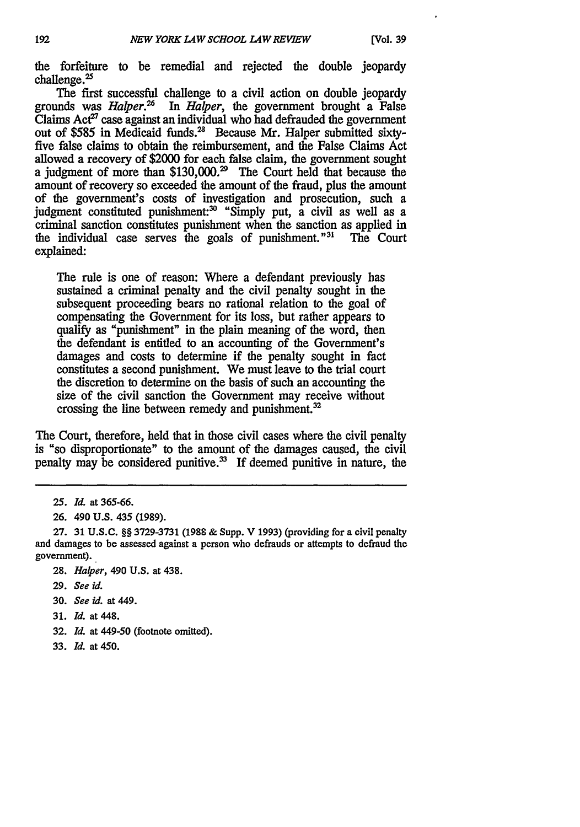the forfeiture to be remedial and rejected the double jeopardy  $challenge.<sup>25</sup>$ 

The first successful challenge to a civil action on double jeopardy grounds was *Halper. In Halper,* the government brought a False Claims  $Act^{27}$  case against an individual who had defrauded the government out of \$585 in Medicaid funds.<sup>28</sup> Because Mr. Halper submitted sixtyfive false claims to obtain the reimbursement, and the False Claims Act allowed a recovery of \$2000 for each false claim, the government sought a judgment of more than \$130,000.<sup>29</sup> The Court held that because the amount of recovery so exceeded the amount of the fraud, plus the amount of the government's costs of investigation and prosecution, such a judgment constituted punishment:<sup>30</sup> "Simply put, a civil as well as a criminal sanction constitutes punishment when the sanction as applied in the individual case serves the goals of punishment."<sup>31</sup> The Court explained:

The rule is one of reason: Where a defendant previously has sustained a criminal penalty and the civil penalty sought in the subsequent proceeding bears no rational relation to the goal of compensating the Government for its loss, but rather appears to qualify as "punishment" in the plain meaning of the word, then the defendant is entitled to an accounting of the Government's damages and costs to determine if the penalty sought in fact constitutes a second punishment. We must leave to the trial court the discretion to determine on the basis of such an accounting the size of the civil sanction the Government may receive without crossing the line between remedy and punishment.<sup>32</sup>

The Court, therefore, held that in those civil cases where the civil penalty is "so disproportionate" to the amount of the damages caused, the civil penalty may be considered punitive.<sup>33</sup> If deemed punitive in nature, the

- **30.** *See id.* at 449.
- 31. *Id.* at 448.
- **32.** *Id.* at **449-50** (footnote omitted).
- 33. *Id.* at 450.

**<sup>25.</sup>** *Id.* **at** 365-66.

**<sup>26.</sup>** 490 **U.S. 435** (1989).

**<sup>27. 31</sup>** U.S.C. §§ **3729-3731 (1988 &** Supp. V 1993) (providing for a civil penalty and damages to be assessed against a person who defrauds or attempts to defraud the government).

<sup>28.</sup> *Halper,* 490 **U.S.** at 438.

**<sup>29.</sup>** *See id.*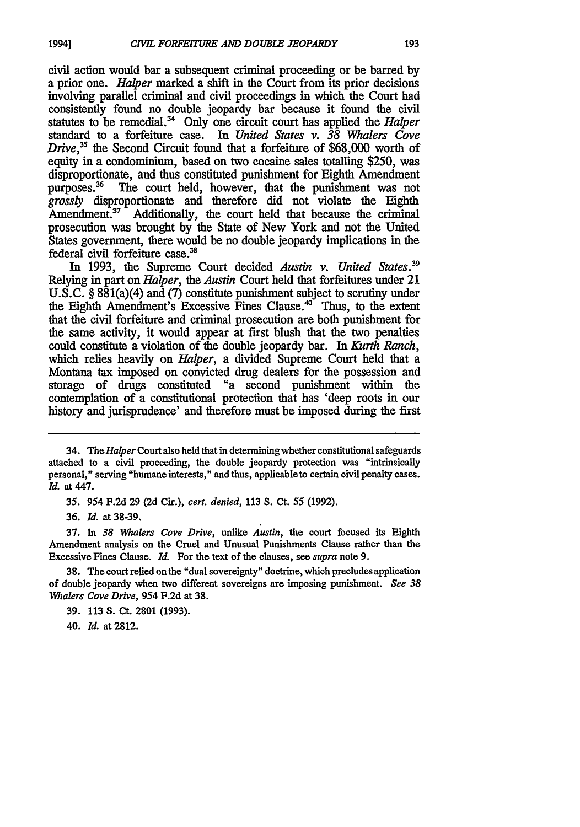civil action would bar a subsequent criminal proceeding or be barred by a prior one. *Halper* marked a shift in the Court from its prior decisions involving parallel criminal and civil proceedings in which the Court had consistently found no double jeopardy bar because it found the civil statutes to be remedial.<sup>34</sup> Only one circuit court has applied the *Halper* standard to a forfeiture case. In *United States v. 38 Whalers Cove* Drive,<sup>35</sup> the Second Circuit found that a forfeiture of \$68,000 worth of equity in a condominium, based on two cocaine sales totalling \$250, was disproportionate, and thus constituted punishment for Eighth Amendment purposes.<sup>36</sup> The court held, however, that the punishment was not *grossly* disproportionate and therefore did not violate the Eighth Amendment.<sup>37</sup> Additionally, the court held that because the criminal prosecution was brought by the State of New York and not the United States government, there would be no double jeopardy implications in the federal civil forfeiture case.<sup>38</sup>

In 1993, the Supreme Court decided *Austin v. United States.*<sup>39</sup> Relying in part on *Halper, the Austin* Court held that forfeitures under 21 U.S.C. § 881(a)(4) and (7) constitute punishment subject to scrutiny under the Eighth Amendment's Excessive Fines Clause. $40^{\circ}$  Thus, to the extent that the civil forfeiture and criminal prosecution are both punishment for the same activity, it would appear at first blush that the two penalties could constitute a violation of the double jeopardy bar. In *Kurth Ranch,* which relies heavily on *Halper,* a divided Supreme Court held that a Montana tax imposed on convicted drug dealers for the possession and storage of drugs constituted "a second punishment within the contemplation of a constitutional protection that has 'deep roots in our history and jurisprudence' and therefore must be imposed during the first

35. 954 F.2d **29 (2d** Cir.), *cert. denied,* 113 S. Ct. 55 (1992).

**36.** *Id.* at 38-39.

**37.** In *38 Whalers Cove Drive,* unlike *Austin,* the court focused its Eighth Amendment analysis on the Cruel and Unusual Punishments Clause rather than the Excessive Fines Clause. *Id.* For the text of the clauses, see *supra* note 9.

38. The court relied on the "dual sovereignty" doctrine, which precludes application of double jeopardy when two different sovereigns are imposing punishment. *See 38 Whalers Cove Drive,* 954 F.2d at 38.

39. **113 S.** Ct. 2801 (1993).

40. *Id.* at 2812.

<sup>34.</sup> The Halper Court also held that in determining whether constitutional safeguards attached to a civil proceeding, the double jeopardy protection was "intrinsically personal," serving "humane interests," and thus, applicable to certain civil penalty cases. *Id.* at 447.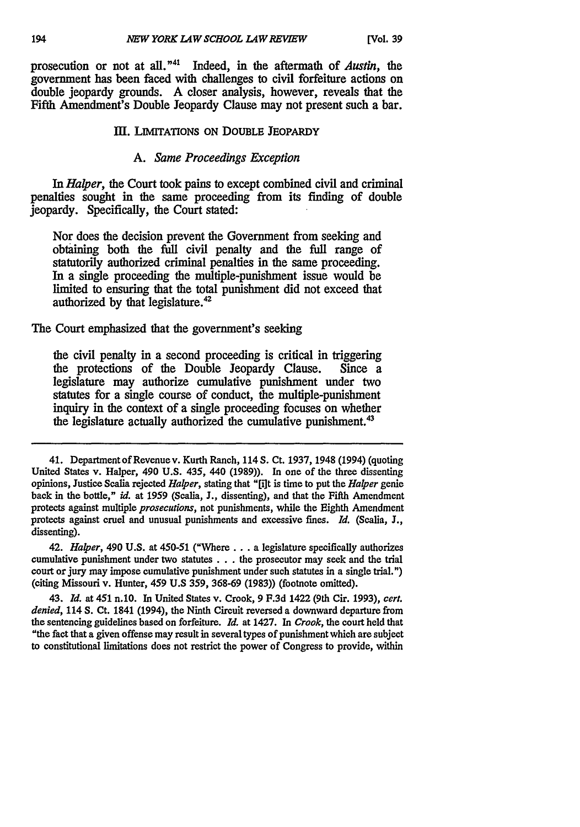prosecution or not at all."41 Indeed, in the aftermath of *Austin,* the government has been faced with challenges to civil forfeiture actions on double jeopardy grounds. A closer analysis, however, reveals that the Fifth Amendment's Double Jeopardy Clause may not present such a bar.

#### III. LIMITATIONS ON DOUBLE JEOPARDY

## *A. Same Proceedings Exception*

*In Halper,* the Court took pains to except combined civil and criminal penalties sought in the same proceeding from its finding of double jeopardy. Specifically, the Court stated:

Nor does the decision prevent the Government from seeking and obtaining both the full civil penalty and the full range of statutorily authorized criminal penalties in the same proceeding. In a single proceeding the multiple-punishment issue would be limited to ensuring that the total punishment did not exceed that authorized by that legislature. <sup>42</sup>

#### The Court emphasized that the government's seeking

the civil penalty in a second proceeding is critical in triggering the protections of the Double Jeopardy Clause. Since a legislature may authorize cumulative punishment under two statutes for a single course of conduct, the multiple-punishment inquiry in the context of a single proceeding focuses on whether the legislature actually authorized the cumulative punishment.43

42. *Halper,* 490 U.S. at 450-51 ("Where... a legislature specifically authorizes cumulative punishment under two statutes . . .the prosecutor may seek and the trial court or jury may impose cumulative punishment under such statutes in a single trial.") (citing Missouri v. Hunter, 459 U.S **359,** 368-69 (1983)) (footnote omitted).

43. *Id.* at 451 n.10. In United States v. Crook, 9 F.3d 1422 (9th Cir. 1993), cert. *denied,* 114 **S.** Ct. 1841 (1994), the Ninth Circuit reversed a downward departure from the sentencing guidelines based on forfeiture. *Id.* at 1427. In *Crook,* the court held that "the fact that a given offense may result in several types of punishment which are subject to constitutional limitations does not restrict the power of Congress to provide, within

<sup>41.</sup> DepartmentofRevenuev. Kurth Ranch, 114 S. Ct. 1937, 1948 (1994) (quoting United States v. Halper, 490 U.S. 435, 440 (1989)). In one of the three dissenting opinions, Justice Scalia rejected *Halper,* stating that "[ut is time to put the *Haloer* genie back in the bottle," *id.* at 1959 (Scalla, **J.,** dissenting), and that the Fifth Amendment protects against multiple *prosecutions,* not punishments, while the Eighth Amendment protects against cruel and unusual punishments and excessive fines. *Id.* (Scalia, **J.,** dissenting).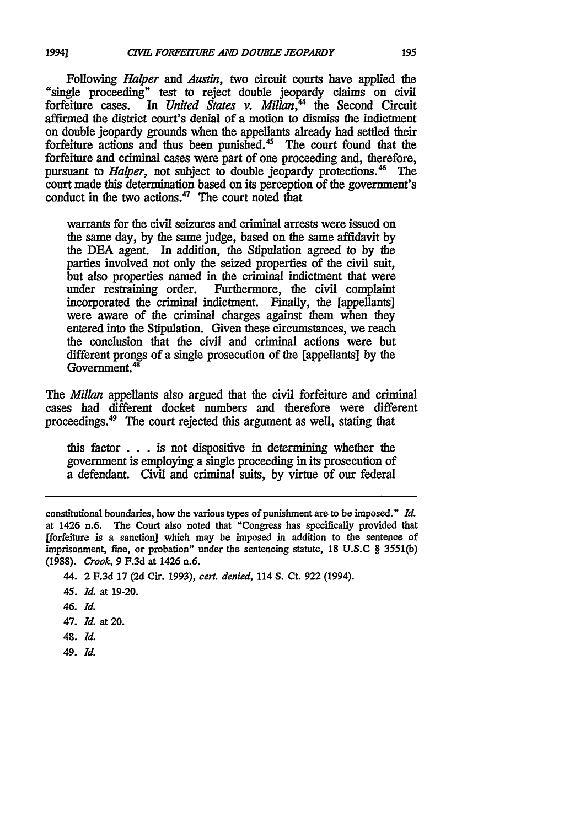Following *Halper* and *Austin,* two circuit courts have applied **the** "single proceeding" test to reject double jeopardy claims on civil forfeiture cases. In *United States v. Milian,"* the Second Circuit affirmed the district court's denial of a motion to dismiss the indictment on double jeopardy grounds when the appellants already had settled their forfeiture actions and thus been punished.<sup>45</sup> The court found that the forfeiture and criminal cases were part of one proceeding and, therefore, pursuant to *Halper*, not subject to double jeopardy protections.<sup>46</sup> The court made this determination based on its perception of the government's conduct in the two actions. $47$  The court noted that

warrants for the civil seizures and criminal arrests were issued on the same day, by the same judge, based on the same affidavit by the **DEA** agent. In addition, the Stipulation agreed to **by** the parties involved not only the seized properties of the civil suit, but also properties named in the criminal indictment that were under restraining order. Furthermore, the civil complaint Furthermore, the civil complaint incorporated the criminal indictment. Finally, the [appellants] were aware of the criminal charges against them when they entered into the Stipulation. Given these circumstances, we reach the conclusion that the civil and criminal actions were but different prongs of a single prosecution of the [appellants] by the Government.<sup>48</sup>

The *Millan* appellants also argued that the civil forfeiture and criminal cases had different docket numbers and therefore were different proceedings.49 The court rejected this argument as well, stating that

this factor . . . is not dispositive in determining whether the government is employing a single proceeding in its prosecution of a defendant. Civil and criminal suits, by virtue of our federal

- *45. Id.* at 19-20.
- *46. Id.*
- 47. *Id.* at 20.
- 48. **Id.**
- 49. *Id.*

constitutional boundaries, how the various types of punishment are to **be** imposed." *Id.* at 1426 n.6. The Court also noted that "Congress has specifically provided that [forfeiture is a sanction] which may be imposed in addition to the sentence of imprisonment, fine, or probation" under the sentencing statute, **18 U.S.C** § *3551(b)* (1988). *Crook,* 9 F.3d at 1426 n.6.

<sup>44. 2</sup> **F.3d** 17 **(2d** Cir. 1993), *cert. denied,* 114 S. Ct. **922** (1994).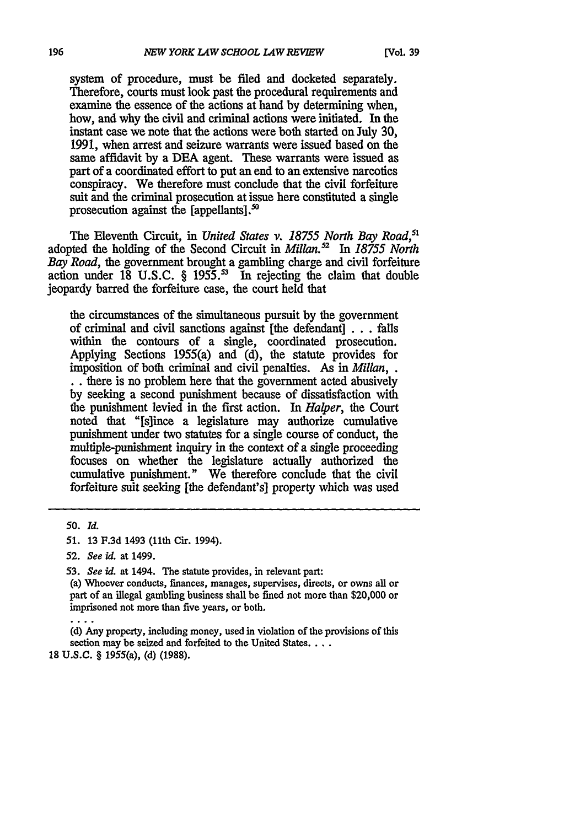system of procedure, must be filed and docketed separately. Therefore, courts must look past the procedural requirements and examine the essence of the actions at hand by determining when, how, and why the civil and criminal actions were initiated. In the instant case we note that the actions were both started on July 30, 1991, when arrest and seizure warrants were issued based on the same affidavit by a DEA agent. These warrants were issued as part of a coordinated effort to put an end to an extensive narcotics conspiracy. We therefore must conclude that the civil forfeiture suit and the criminal prosecution at issue here constituted a single prosecution against the [appellants].<sup>50</sup>

The Eleventh Circuit, in *United States v. 18755 North Bay Road*,<sup>5</sup> adopted the holding of the Second Circuit in *Millan 2 In 18755 North Bay Road,* the government brought a gambling charge and civil forfeiture action under 18 U.S.C.  $\S$  1955.<sup>53</sup> In rejecting the claim that double jeopardy barred the forfeiture case, the court held that

the circumstances of the simultaneous pursuit **by** the government of criminal and civil sanctions against [the defendant] . . . falls within the contours of a single, coordinated prosecution. Applying Sections 1955(a) and (d), the statute provides for imposition of both criminal and civil penalties. As in *Milian, .* **.** there is no problem here that the government acted abusively by seeking a second punishment because of dissatisfaction with the punishment levied in the first action. In *Halper,* the Court noted that "[s]ince a legislature may authorize cumulative punishment under two statutes for a single course of conduct, the multiple-punishment inquiry in the context of a single proceeding focuses on whether the legislature actually authorized the cumulative punishment." We therefore conclude that the civil forfeiture suit seeking [the defendant's] property which was used

53. *See id.* at 1494. The statute provides, in relevant part:

(d) Any property, including money, used in violation of the provisions of this section may be seized and forfeited to the United States....

**18 U.S.C.** § 1955(a), (d) (1988).

*<sup>50.</sup> Id.*

<sup>51.</sup> **13** F.3d 1493 (11th Cir. 1994).

<sup>52.</sup> *See id.* at 1499.

<sup>(</sup>a) Whoever conducts, finances, manages, supervises, directs, or owns all or part of an illegal gambling business shall be fined not more than \$20,000 or imprisoned not more than five years, or both.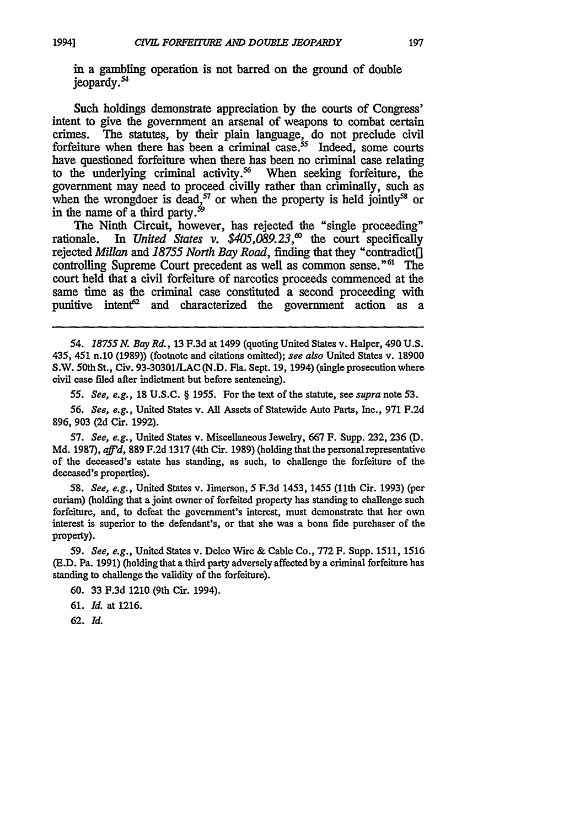in a gambling operation is not barred on the ground of double ieopardy.<sup>54</sup>

Such holdings demonstrate appreciation **by** the courts of Congress' intent to give the government an arsenal of weapons to combat certain crimes. The statutes, by their plain language, do not preclude civil forfeiture when there has been a criminal case.<sup>55</sup> Indeed, some courts have questioned forfeiture when there has been no criminal case relating to the underlying criminal activity.<sup>56</sup> When seeking forfeiture, the to the underlying criminal activity.<sup>56</sup> government may need to proceed civilly rather than criminally, such as when the wrongdoer is dead,<sup>57</sup> or when the property is held jointly<sup>58</sup> or in the name of a third party.<sup>59</sup>

The Ninth Circuit, however, has rejected the "single proceeding" rationale. In *United States v. \$405,089.23*,<sup>60</sup> the court specifically rejected *Millan* and 18755 North Bay Road, finding that they "contradicti<sup>-</sup> controlling Supreme Court precedent as well as common sense."<sup>61</sup> The court held that a civil forfeiture of narcotics proceeds commenced at the same time as the criminal case constituted a second proceeding with punitive intent $^{62}$  and characterized the government action as a

*54. 18755 N. Bay Rd.,* 13 F.3d at 1499 (quoting United States v. Halper, 490 U.S. 435, 451 n.10 (1989)) (footnote and citations omitted); *see also* United States v. 18900 S.W. 50th St., Civ. 93-30301/LAC (N.D. Fla. Sept. **19,** 1994) (single prosecution where civil case filed after indictment but before sentencing).

*55. See, e.g.,* **18** U.S.C. § 1955. For the text of the statute, see *supra* note 53.

*56. See, e.g.,* United States v. All Assets of Statewide Auto Parts, Inc., **971** F.2d 896, 903 **(2d** Cir. 1992).

*57. See, e.g.,* United States v. Miscellaneous Jewelry, 667 F. Supp. 232, **236** (D. Md. 1987), *aft'd,* **889** F.2d 1317 (4th Cir. 1989) (holding that the personalrepresentative of the deceased's estate has standing, as such, to challenge the forfeiture of the deceased's properties).

*58. See, e.g.,* United States v. Jimerson, 5 F.3d 1453, 1455 (11th Cir. 1993) (per curiam) (holding that a joint owner of forfeited property has standing to challenge such forfeiture, and, to defeat the government's interest, must demonstrate that her own interest is superior to the defendant's, or that she was a bona fide purchaser of the property).

*59. See, e.g.,* United States v. Delco Wire & Cable Co., **772** F. Supp. **1511,** 1516 (E.D. Pa. 1991) (holding that a third party adversely affected by a criminal forfeiture has standing to challenge the validity of the forfeiture).

60. 33 F.3d 1210 (9th Cir. 1994).

61. *Id.* at 1216.

**62.** *Id.*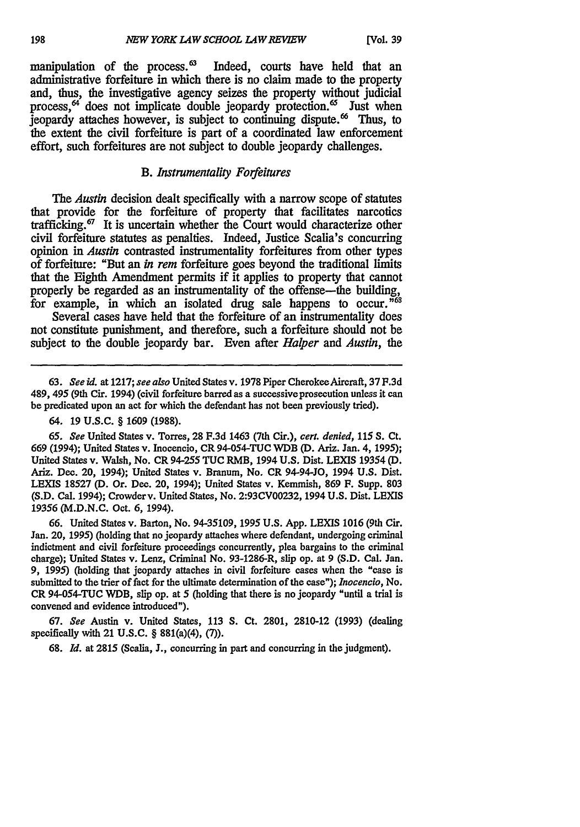manipulation of the process.<sup>63</sup> Indeed, courts have held that an administrative forfeiture in which there is no claim made to the property and, thus, the investigative agency seizes the property without judicial process,  $\alpha$  does not implicate double jeopardy protection. $\alpha$  Just when jeopardy attaches however, is subject to continuing dispute.<sup>66</sup> Thus, to the extent the civil forfeiture is part of a coordinated law enforcement effort, such forfeitures are not subject to double jeopardy challenges.

# *B. Instrumentality Forfeitures*

The *Austin* decision dealt specifically with a narrow scope of statutes that provide for the forfeiture of property that facilitates narcotics trafficking.67 It is uncertain whether the Court would characterize other civil forfeiture statutes as penalties. Indeed, Justice Scalia's concurring opinion in *Austin* contrasted instrumentality forfeitures from other types of forfeiture: "But an *in rem* forfeiture goes beyond the traditional limits that the Eighth Amendment permits if it applies to property that cannot properly be regarded as an instrumentality of the offense—the building, for example, in which an isolated drug sale happens to occur."<sup>68</sup>

Several cases have held that the forfeiture of an instrumentality does not constitute punishment, and therefore, such a forfeiture should not be subject to the double jeopardy bar. Even after *Halper* and *Austin, the*

64. **19 U.S.C.** § 1609 **(1988).**

*65. See* United States v. Torres, **28** F.3d 1463 (7th Cir.), *cert. denied,* 115 **S.** Ct. 669 (1994); United States v. Inocencio, CR 94-054-TUC WDB **(D.** Ariz. Jan. 4, 1995); United States v. Walsh, No. CR 94-255 **TUC** RMB, 1994 **U.S.** Dist. **LEXIS** 19354 **(D.** Ariz. Dee. 20, 1994); United States v. Branum, No. CR 94-94-JO, 1994 **U.S.** Dist. **LEXIS 18527 (D.** Or. Dee. 20, 1994); United States v. Kemmish, **869** F. Supp. **803** (S.D. Cal. 1994); Crowderv. United States, No. 2:93CV00232, 1994 **U.S.** Dist. LEXIS **19356** (M.D.N.C. Oct. 6, 1994).

66. United States v. Barton, No. 94-35109, 1995 **U.S.** App. **LEXIS** 1016 (9th Cir. Jan. 20, 1995) (holding that no jeopardy attaches where defendant, undergoing criminal indictment and civil forfeiture proceedings concurrently, plea bargains to the criminal charge); United States v. Lenz, Criminal No. 93-1286-R, slip op. at 9 (S.D. Cal. Jan. *9,* **1995)** (holding that jeopardy attaches in civil forfeiture cases when the "case is submitted to the trier of fact for the ultimate determination of the case"); *Inocencio,* No. CR 94-054-TUC WDB, slip op. at **5** (holding that there is no jeopardy "until a trial is convened and evidence introduced").

67. *See* Austin v. United States, 113 **S.** Ct. 2801, 2810-12 (1993) (dealing specifically with 21 **U.S.C.** § 881(a)(4), **(7)).**

**68.** *Id.* at **2815** (Scalia, **J.,** concurring in part and concurring in the judgment).

**<sup>63.</sup>** *See id.* at **1217;** see also United States v. **1978** Piper CherokeeAircraft, **37 F.3d** 489, *495* (9th **Cir.** 1994) (civil forfeiture barred as a successive prosecution unless it can be predicated upon an act for which the defendant has not been previously tried).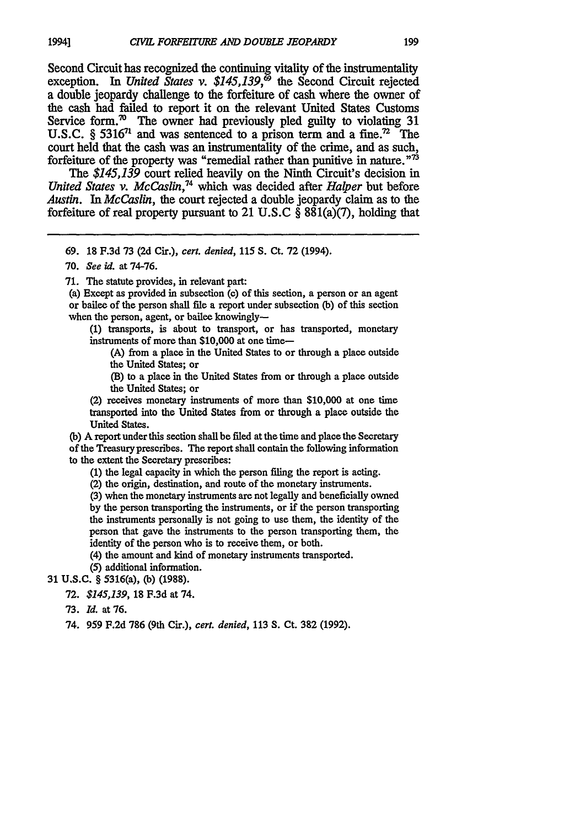Second Circuit has recognized the continuing vitality of the instrumentality exception. In *United States v.*  $$145,139$ ,  $\delta$  the Second Circuit rejected a double jeopardy challenge to the forfeiture of cash where the owner of the cash had failed to report it on the relevant United States Customs Service form.<sup>70</sup> The owner had previously pled guilty to violating  $31$ U.S.C.  $\frac{6}{5}$  5316<sup>71</sup> and was sentenced to a prison term and a fine.<sup>72</sup> The court held that the cash was an instrumentality of the crime, and as such, forfeiture of the property was "remedial rather than punitive in nature." $\frac{1}{10}$ 

The *\$145,139* court relied heavily on the Ninth Circuit's decision in *United States v. McCaslin,74* which was decided after *Halper* but before *Austin. In McCaslin,* the court rejected a double jeopardy claim as to the forfeiture of real property pursuant to 21 U.S.C  $\S$  881(a)(7), holding that

- **69. 18** F.3d 73 (2d Cir.), *cert. denied,* 115 S. Ct. 72 (1994).
- **70.** *See id.* at **74-76.**

**71.** The statute provides, in relevant part:

(a) Except as provided in subsection (c) of this section, a person or an agent or bailee of the person shall file a report under subsection **(b)** of this section when the person, agent, or bailee knowingly-

- **(1)** transports, is about to transport, or has transported, monetary instruments of more than **\$10,000** at one time-
	- **(A)** from a place in the United States to or through a place outside the United States; or
	- (B) to a place in the United States from or through a place outside the United States; or
- (2) receives monetary instruments of more than **\$10,000** at one time transported into the United States from or through a place outside the United States.

**(b)** A report under this section shall **be** filed at the time and place the Secretary of the Treasury prescribes. The report shall contain the following information to the extent the Secretary prescribes:

**(1)** the legal capacity in which the person filing the report is acting.

(2) the origin, destination, and route of the monetary instruments.

**(3)** when the monetary instruments are not legally and beneficially owned by the person transporting the instruments, or if the person transporting the instruments personally is not going to use them, the identity of the person that gave the instruments to the person transporting them, the identity of the person who is to receive them, or both.

(4) the amount and kind of monetary instruments transported.

**(5)** additional information.

**31 U.S.C. §** 5316(a), **(b) (1988).**

- **72.** *\$145,139,* **18 F.3d** at 74.
- **73.** *Id.* at **76.**

74. **959 F.2d 786** (9th Cir.), *cert. denied,* **113 S.** Ct. **382 (1992).**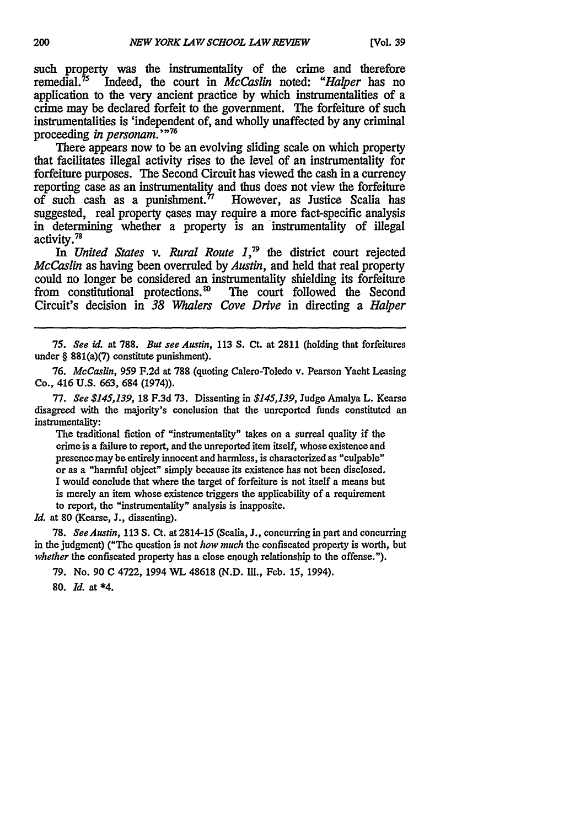such property was the instrumentality of the crime and therefore remedial.75 Indeed, the court in *McCaslin* noted: *"Halper* has no application to the very ancient practice **by** which instrumentalities of a crime may be declared forfeit to the government. The forfeiture of such instrumentalities is 'independent of, and wholly unaffected **by** any criminal proceeding *in personam.*<sup>"76</sup>

There appears now to be an evolving sliding scale on which property that facilitates illegal activity rises to the level of an instrumentality for forfeiture purposes. The Second Circuit has viewed the cash in a currency reporting case as an instrumentality and thus does not view the forfeiture of such cash as a punishment.<sup> $\eta$ </sup> However, as Justice Scalia has of such cash as a punishment.<sup> $\dot{\eta}$ </sup> suggested, real property cases may require a more fact-specific analysis in determining whether a property is an instrumentality of illegal activity.<sup>78</sup>

In United States v. Rural Route 1,<sup>79</sup> the district court rejected *McCaslin* as having been overruled **by** *Austin,* and held that real property could no longer be considered an instrumentality shielding **its** forfeiture from constitutional protections.<sup>80</sup> Circuit's decision in *38 Whalers Cove Drive* in directing a *Halper*

*75. See id.* **at 788.** *But see Austin,* **113 S.** Ct. at 2811 (holding that forfeitures under § 881(a)(7) constitute punishment).

76. *McCaslin,* **959 F.2d** at **788** (quoting Calero-Toledo v. Pearson Yacht Leasing Co., 416 **U.S.** 663, 684 (1974)).

77. *See \$145,139,* **18** F.3d **73.** Dissenting in *\$145,139,* Judge Amalya L. Kearse disagreed with the majority's conclusion that the unreported funds constituted an instrumentality:

The traditional fiction of "instrumentality" takes on a surreal quality if the crime is a failure to report, and the unreported item itself, whose existence and presence may **be** entirely innocent and harmless, is characterized as "culpable" or as a "harmful object" simply because its existence has not been disclosed. I would conclude that where the target of forfeiture is not itself a means but is merely an item whose existence triggers the applicability of a requirement to report, the "instrumentality" analysis is inapposite.

*Id.* at 80 (Kearse, **J.,** dissenting).

78. *See Austin,* 113 S. Ct. at 2814-15 (Scalia, J., concurring in part and concurring in the judgment) ("The question is not *how much* the confiscated property is worth, but *whether* the confiscated property has a close enough relationship to the offense.").

79. No. 90 **C** 4722, 1994 WL 48618 (N.D. II., Feb. **15,** 1994).

**80.** *Id.* at **\*4.**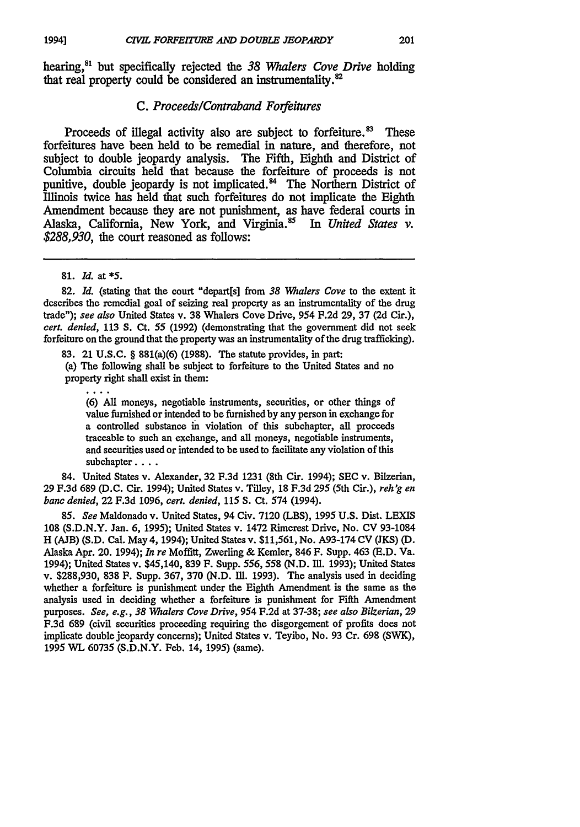hearing,"1 but specifically rejected the *38 Whalers Cove Drive* holding that real property could be considered an instrumentality.<sup>82</sup>

#### *C. Proceeds/Contraband Forfeitures*

Proceeds of illegal activity also are subject to forfeiture.<sup>83</sup> These forfeitures have been held to be remedial in nature, and therefore, not subject to double jeopardy analysis. The Fifth, Eighth and District of Columbia circuits held that because the forfeiture of proceeds is not punitive, double jeopardy is not implicated.<sup>84</sup> The Northern District of Illinois twice has held that such forfeitures do not implicate the Eighth Amendment because they are not punishment, as have federal courts in Alaska, California, New York, and Virginia.<sup>85</sup> In *United States v*. *\$288,930,* the court reasoned as follows:

*19941*

**82.** *Id.* (stating that the court "depart[s] from *38 Whalers Cove* to the extent it describes the remedial goal of seizing real property as an instrumentality of the drug trade"); *see also* United States v. **38** Whalers Cove Drive, 954 **F.2d 29, 37 (2d** Cir.), *cert. denied,* 113 **S.** Ct. 55 (1992) (demonstrating that the government did not seek forfeiture on the ground that the property was an instrumentality of the drug trafficking).

**83.** 21 **U.S.C.** § 881(a)(6) (1988). The statute provides, in part: (a) The following shall be subject to forfeiture to the United States and no property right shall exist in them:

(6) All moneys, negotiable instruments, securities, or other things of value furnished or intended to be furnished by any person in exchange for a controlled substance in violation of this subehapter, all proceeds traceable to such an exchange, and all moneys, negotiable instruments, and securities used or intended to be used to facilitate any violation of this subehapter **....**

84. United States v. Alexander, **32 F.3d** 1231 (8th Cir. 1994); **SEC** v. Bilzerian, 29 F.3d 689 (D.C. Cir. 1994); United States v. Tilley, 18 F.3d 295 (5th Cir.), *reh'g en bane denied,* 22 F.3d 1096, *cert. denied,* 115 **S.** Ct. 574 (1994).

*85. See* Maldonado v. United States, 94 Civ. 7120 (LBS), 1995 U.S. Dist. LEXIS 108 (S.D.N.Y. Jan. 6, 1995); United States v. 1472 Rimerest Drive, No. CV 93-1084 H **(AJB) (S.D.** Cal. May 4, 1994); United States v. \$11,561, No. **A93-174 CV (JKS) (D.** Alaska Apr. 20. 1994); *In re* Moffitt, Zwerling **&** Kemler, 846 F. Supp. 463 (E.D. Va. 1994); United States v. \$45,140, **839 F.** Supp. *556, 558* **(N.D.** Il. 1993); United States v. \$288,930, **838 F.** Supp. 367, 370 (N.D. IMI. 1993). The analysis used in deciding whether a forfeiture is punishment under the Eighth Amendment is the same as the analysis used in deciding whether a forfeiture is punishment for Fifth Amendment purposes. *See, e.g., 38 Whalers Cove Drive,* 954 F.2d at 37-38; *see also Bilzerian,* 29 F.3d 689 (civil securities proceeding requiring the disgorgement of profits does not implicate double jeopardy concerns); United States v. Teyibo, No. 93 Cr. 698 (SWK), 1995 WL 60735 (S.D.N.Y. Feb. 14, 1995) (same).

**<sup>81.</sup>** *Id.* at **\*5.**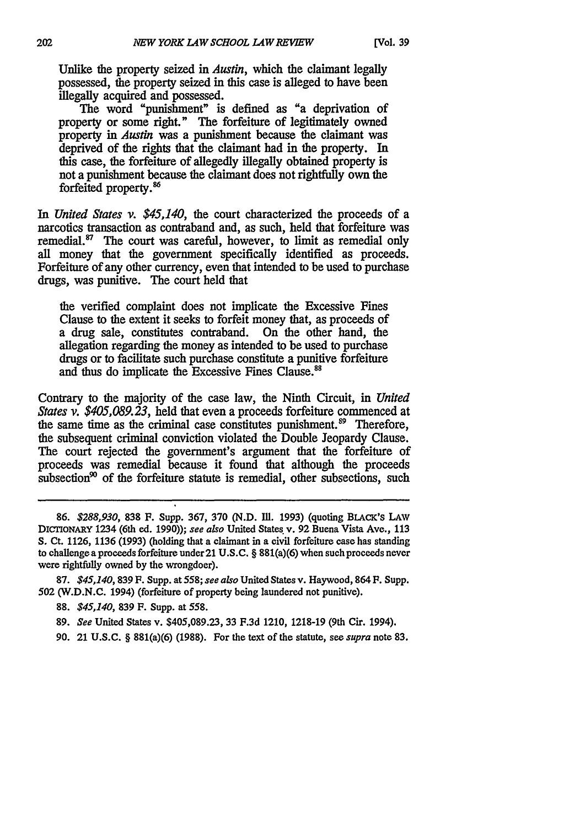Unlike the property seized in *Austin,* which the claimant legally possessed, the property seized in this case is alleged to have been illegally acquired and possessed.

The word "punishment" is defined as "a deprivation of property or some right." The forfeiture of legitimately owned property in *Austin* was a punishment because the claimant was deprived of the rights that the claimant had in the property. In this case, the forfeiture of allegedly illegally obtained property is not a punishment because the claimant does not rightfully own the forfeited property.<sup>86</sup>

*In United States v. \$45,140,* the court characterized the proceeds of a narcotics transaction as contraband and, as such, held that forfeiture was remedial.<sup>87</sup> The court was careful, however, to limit as remedial only all money that the government specifically identified as proceeds. Forfeiture of any other currency, even that intended to be used to purchase drugs, was punitive. The court held that

the verified complaint does not implicate the Excessive Fines Clause to the extent it seeks to forfeit money that, as proceeds of a drug sale, constitutes contraband. On the other hand, the allegation regarding the money as intended to be used to purchase drugs or to facilitate such purchase constitute a punitive forfeiture and thus do implicate the Excessive Fines Clause.<sup>88</sup>

Contrary to the majority of the case law, the Ninth Circuit, in *United States v. \$405,089.23,* held that even a proceeds forfeiture commenced at the same time as the criminal case constitutes punishment.<sup>89</sup> Therefore, the subsequent criminal conviction violated the Double Jeopardy Clause. The court rejected the government's argument that the forfeiture of proceeds was remedial because it found that although the proceeds subsection<sup>90</sup> of the forfeiture statute is remedial, other subsections, such

87. *\$45,140,* 839 F. Supp. at **558;** see *also* United States v. Haywood, 864 **F.** Supp. 502 (W.D.N.C. 1994) (forfeiture of property being laundered not punitive).

**90.** 21 **U.S.C.** § 881(a)(6) **(1988).** For the text of the statute, see *supra* note **83.**

<sup>86. \$288,930, 838</sup> F. Supp. 367, 370 (N.D. Ill. 1993) (quoting BLACK's LAW DICTIONARY 1234 (6th ed. 1990)); see also United States v. 92 Buena Vista Ave., 113 **S.** Ct. 1126, 1136 (1993) (holding that a claimant in a civil forfeiture case has standing to challengea proceeds forfeiture under2l U.S.C. § 881(a)(6) when such proceeds never were rightfully owned by the wrongdoer).

<sup>88.</sup> *\$45,140,* 839 F. Supp. at **558.**

<sup>89.</sup> *See* United States v. **\$405,089.23,** 33 F.3d 1210, 1218-19 (9th Cir. 1994).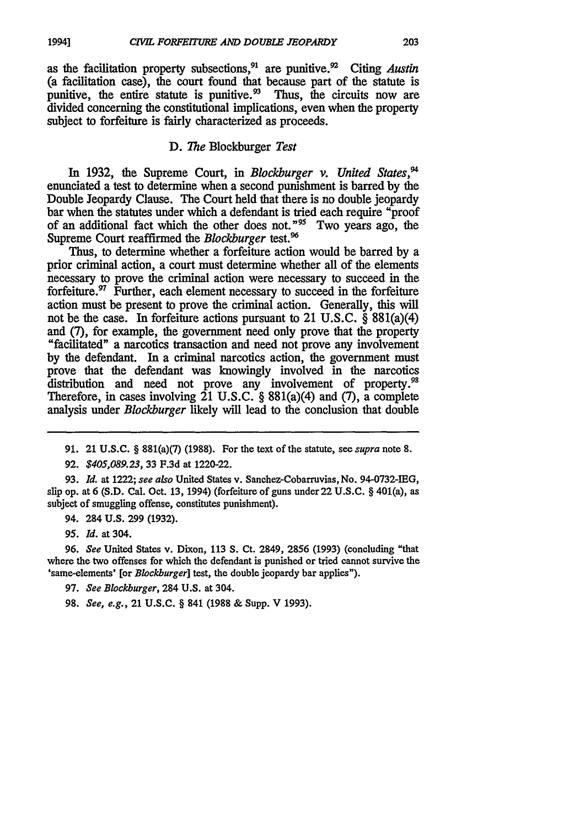as the facilitation property subsections,<sup>91</sup> are punitive.<sup>92</sup> Citing *Austin* (a facilitation case), the court found that because part of the statute is punitive, the entire statute is punitive.<sup>93</sup> Thus, the circuits now are divided concerning the constitutional implications, even when the property subject to forfeiture is fairly characterized as proceeds.

# D. *The* Blockburger *Test*

In 1932, the Supreme Court, in *Blockburger v. United States,'* enunciated a test to determine when a second punishment is barred by the Double Jeopardy Clause. The Court held that there is no double jeopardy bar when the statutes under which a defendant is tried each require "proof of an additional fact which the other does not."95 Two years ago, the Supreme Court reaffirmed the *Blockburger* test.'

Thus, to determine whether a forfeiture action would be barred by a prior criminal action, a court must determine whether all of the elements necessary to prove the criminal action were necessary to succeed in the forfeiture. $97$  Further, each element necessary to succeed in the forfeiture action must be present to prove the criminal action. Generally, this will not be the case. In forfeiture actions pursuant to 21 U.S.C. § 881(a)(4) and (7), for example, the government need only prove that the property "facilitated" a narcotics transaction and need not prove any involvement by the defendant. In a criminal narcotics action, the government must prove that the defendant was knowingly involved in the narcotics distribution and need not prove any involvement of property.<sup>98</sup> Therefore, in cases involving  $21 \text{ U.S.C. }$  §  $881(a)(4)$  and  $(7)$ , a complete analysis under *Blockburger* likely will lead to the conclusion that double

93. *Id.* at 1222; *see also* United States v. Sanchez-Cobarruvias, No. 94-0732-IEG, slip op. at 6 (S.D. Cal. Oct. **13,** 1994) (forfeiture of guns under 22 U.S.C. § 401(a), as subject of smuggling offense, constitutes punishment).

94. 284 **U.S. 299 (1932).**

*95. Id.* at 304.

96. *See* United States v. Dixon, 113 **S.** Ct. 2849, 2856 (1993) (concluding "that where the two offenses for which the defendant is punished or tried cannot survive the 'same-elements' [or *Blockburger]* test, the double jeopardy bar applies").

**<sup>91.</sup>** 21 U.S.C. § 881(a)(7) (1988). For the text of the statute, see *supra* note 8.

**<sup>92.</sup>** *\$405,089.23,* **33** F.3d at 1220-22.

<sup>97.</sup> *See Blockburger,* 284 U.S. at 304.

**<sup>98.</sup>** *See, e.g.,* 21 U.S.C. § 841 **(1988 &** Supp. V 1993).